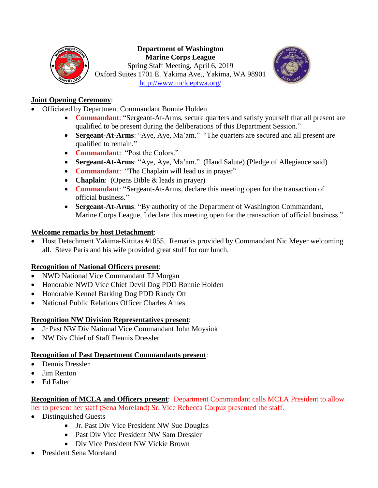

#### **Department of Washington Marine Corps League** Spring Staff Meeting, April 6, 2019 Oxford Suites 1701 E. Yakima Ave., Yakima, WA 98901 <http://www.mcldeptwa.org/>



# **Joint Opening Ceremony**:

- Officiated by Department Commandant Bonnie Holden
	- **Commandant**: "Sergeant-At-Arms, secure quarters and satisfy yourself that all present are qualified to be present during the deliberations of this Department Session."
	- **Sergeant-At-Arms**: "Aye, Aye, Ma'am." "The quarters are secured and all present are qualified to remain."
	- **Commandant**: "Post the Colors."
	- **Sergeant-At-Arms**: "Aye, Aye, Ma'am." (Hand Salute) (Pledge of Allegiance said)
	- **Commandant**: "The Chaplain will lead us in prayer"
	- **Chaplain**: (Opens Bible & leads in prayer)
	- **Commandant**: "Sergeant-At-Arms, declare this meeting open for the transaction of official business."
	- **Sergeant-At-Arms**: "By authority of the Department of Washington Commandant, Marine Corps League, I declare this meeting open for the transaction of official business."

# **Welcome remarks by host Detachment**:

• Host Detachment Yakima-Kittitas #1055. Remarks provided by Commandant Nic Meyer welcoming all. Steve Paris and his wife provided great stuff for our lunch.

# **Recognition of National Officers present**:

- NWD National Vice Commandant TJ Morgan
- Honorable NWD Vice Chief Devil Dog PDD Bonnie Holden
- Honorable Kennel Barking Dog PDD Randy Ott
- National Public Relations Officer Charles Ames

# **Recognition NW Division Representatives present**:

- Jr Past NW Div National Vice Commandant John Moysiuk
- NW Div Chief of Staff Dennis Dressler

# **Recognition of Past Department Commandants present**:

- Dennis Dressler
- Jim Renton
- Ed Falter

## **Recognition of MCLA and Officers present**: Department Commandant calls MCLA President to allow her to present her staff (Sena Moreland) Sr. Vice Rebecca Corpuz presented the staff.

- Distinguished Guests
	- Jr. Past Div Vice President NW Sue Douglas
	- Past Div Vice President NW Sam Dressler
	- Div Vice President NW Vickie Brown
- President Sena Moreland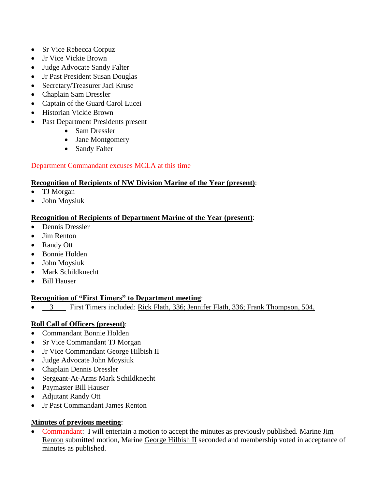- Sr Vice Rebecca Corpuz
- Jr Vice Vickie Brown
- Judge Advocate Sandy Falter
- Jr Past President Susan Douglas
- Secretary/Treasurer Jaci Kruse
- Chaplain Sam Dressler
- Captain of the Guard Carol Lucei
- Historian Vickie Brown
- Past Department Presidents present
	- Sam Dressler
	- Jane Montgomery
	- Sandy Falter

## Department Commandant excuses MCLA at this time

#### **Recognition of Recipients of NW Division Marine of the Year (present)**:

- TJ Morgan
- John Moysiuk

## **Recognition of Recipients of Department Marine of the Year (present)**:

- Dennis Dressler
- Jim Renton
- Randy Ott
- Bonnie Holden
- John Moysiuk
- Mark Schildknecht
- Bill Hauser

# **Recognition of "First Timers" to Department meeting**:

• 3 First Timers included: Rick Flath, 336; Jennifer Flath, 336; Frank Thompson, 504.

# **Roll Call of Officers (present)**:

- Commandant Bonnie Holden
- Sr Vice Commandant TJ Morgan
- Jr Vice Commandant George Hilbish II
- Judge Advocate John Moysiuk
- Chaplain Dennis Dressler
- Sergeant-At-Arms Mark Schildknecht
- Paymaster Bill Hauser
- Adjutant Randy Ott
- Jr Past Commandant James Renton

# **Minutes of previous meeting**:

• Commandant: I will entertain a motion to accept the minutes as previously published. Marine Jim Renton submitted motion, Marine George Hilbish II seconded and membership voted in acceptance of minutes as published.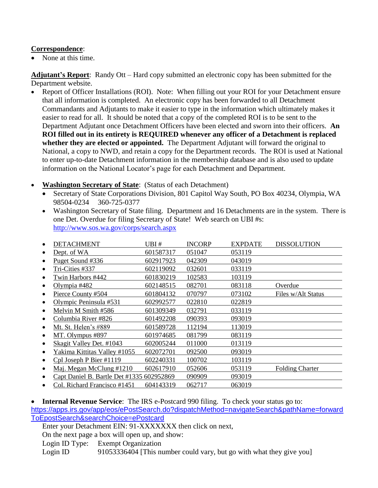#### **Correspondence**:

• None at this time.

**Adjutant's Report**: Randy Ott – Hard copy submitted an electronic copy has been submitted for the Department website.

- Report of Officer Installations (ROI). Note: When filling out your ROI for your Detachment ensure that all information is completed. An electronic copy has been forwarded to all Detachment Commandants and Adjutants to make it easier to type in the information which ultimately makes it easier to read for all. It should be noted that a copy of the completed ROI is to be sent to the Department Adjutant once Detachment Officers have been elected and sworn into their officers. **An ROI filled out in its entirety is REQUIRED whenever any officer of a Detachment is replaced whether they are elected or appointed.** The Department Adjutant will forward the original to National, a copy to NWD, and retain a copy for the Department records. The ROI is used at National to enter up-to-date Detachment information in the membership database and is also used to update information on the National Locator's page for each Detachment and Department.
- **Washington Secretary of State**: (Status of each Detachment)
	- Secretary of State Corporations Division, 801 Capitol Way South, PO Box 40234, Olympia, WA 98504-0234 360-725-0377
	- Washington Secretary of State filing. Department and 16 Detachments are in the system. There is one Det. Overdue for filing Secretary of State! Web search on UBI #s: <http://www.sos.wa.gov/corps/search.aspx>

| <b>DETACHMENT</b>                         | UBI #     | <b>INCORP</b> | <b>EXPDATE</b> | <b>DISSOLUTION</b>     |
|-------------------------------------------|-----------|---------------|----------------|------------------------|
| Dept. of WA                               | 601587317 | 051047        | 053119         |                        |
| Puget Sound #336                          | 602917923 | 042309        | 043019         |                        |
| Tri-Cities #337                           | 602119092 | 032601        | 033119         |                        |
| Twin Harbors #442                         | 601830219 | 102583        | 103119         |                        |
| Olympia #482                              | 602148515 | 082701        | 083118         | Overdue                |
| Pierce County #504                        | 601804132 | 070797        | 073102         | Files w/Alt Status     |
| Olympic Peninsula #531                    | 602992577 | 022810        | 022819         |                        |
| Melvin M Smith #586                       | 601309349 | 032791        | 033119         |                        |
| Columbia River #826                       | 601492208 | 090393        | 093019         |                        |
| Mt. St. Helen's #889                      | 601589728 | 112194        | 113019         |                        |
| MT. Olympus #897                          | 601974685 | 081799        | 083119         |                        |
| Skagit Valley Det. #1043                  | 602005244 | 011000        | 013119         |                        |
| Yakima Kittitas Valley #1055              | 602072701 | 092500        | 093019         |                        |
| Cpl Joseph P Bier #1119                   | 602240331 | 100702        | 103119         |                        |
| Maj. Megan McClung #1210                  | 602617910 | 052606        | 053119         | <b>Folding Charter</b> |
| Capt Daniel B. Bartle Det #1335 602952869 |           | 090909        | 093019         |                        |
| Col. Richard Francisco #1451              | 604143319 | 062717        | 063019         |                        |

• **Internal Revenue Service**: The IRS e-Postcard 990 filing. To check your status go to: [https://apps.irs.gov/app/eos/ePostSearch.do?dispatchMethod=navigateSearch&pathName=forward](https://apps.irs.gov/app/eos/ePostSearch.do?dispatchMethod=navigateSearch&pathName=forwardToEpostSearch&searchChoice=ePostcard) [ToEpostSearch&searchChoice=ePostcard](https://apps.irs.gov/app/eos/ePostSearch.do?dispatchMethod=navigateSearch&pathName=forwardToEpostSearch&searchChoice=ePostcard)

Enter your Detachment EIN: 91-XXXXXXX then click on next,

On the next page a box will open up, and show:

Login ID Type: Exempt Organization

Login ID 91053336404 [This number could vary, but go with what they give you]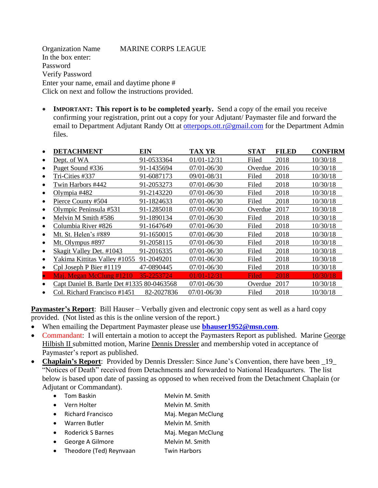Organization Name MARINE CORPS LEAGUE In the box enter: Password Verify Password Enter your name, email and daytime phone # Click on next and follow the instructions provided.

• **IMPORTANT:** This report is to be completed yearly. Send a copy of the email you receive confirming your registration, print out a copy for your Adjutant/ Paymaster file and forward the email to Department Adjutant Randy Ott at [otterpops.ott.r@gmail.com](mailto:moysiukjl@hotmail.com) for the Department Admin files.

| <b>DETACHMENT</b>                          | EIN        | TAX YR          | <b>STAT</b> | <b>FILED</b> | <b>CONFIRM</b> |
|--------------------------------------------|------------|-----------------|-------------|--------------|----------------|
| Dept. of WA                                | 91-0533364 | 01/01-12/31     | Filed       | 2018         | 10/30/18       |
| Puget Sound #336                           | 91-1435694 | 07/01-06/30     | Overdue     | 2016         | 10/30/18       |
| Tri-Cities #337                            | 91-6087173 | 09/01-08/31     | Filed       | 2018         | 10/30/18       |
| Twin Harbors #442                          | 91-2053273 | 07/01-06/30     | Filed       | 2018         | 10/30/18       |
| Olympia #482                               | 91-2143220 | 07/01-06/30     | Filed       | 2018         | 10/30/18       |
| Pierce County #504                         | 91-1824633 | 07/01-06/30     | Filed       | 2018         | 10/30/18       |
| Olympic Peninsula #531                     | 91-1285018 | 07/01-06/30     | Overdue     | 2017         | 10/30/18       |
| Melvin M Smith #586                        | 91-1890134 | 07/01-06/30     | Filed       | 2018         | 10/30/18       |
| Columbia River #826                        | 91-1647649 | 07/01-06/30     | Filed       | 2018         | 10/30/18       |
| Mt. St. Helen's #889                       | 91-1650015 | 07/01-06/30     | Filed       | 2018         | 10/30/18       |
| Mt. Olympus #897                           | 91-2058115 | 07/01-06/30     | Filed       | 2018         | 10/30/18       |
| Skagit Valley Det. #1043                   | 91-2016335 | 07/01-06/30     | Filed       | 2018         | 10/30/18       |
| Yakima Kittitas Valley #1055               | 91-2049201 | 07/01-06/30     | Filed       | 2018         | 10/30/18       |
| Cpl Joseph P Bier #1119                    | 47-0890445 | 07/01-06/30     | Filed       | 2018         | 10/30/18       |
| Maj. Megan McClung #1210                   | 35-2253724 | $01/01 - 12/31$ | Filed       | 2018         | 10/30/18       |
| Capt Daniel B. Bartle Det #1335 80-0463568 |            | 07/01-06/30     | Overdue     | 2017         | 10/30/18       |
| Col. Richard Francisco #1451               | 82-2027836 | $07/01 - 06/30$ | Filed       | 2018         | 10/30/18       |

**Paymaster's Report**: Bill Hauser – Verbally given and electronic copy sent as well as a hard copy provided. (Not listed as this is the online version of the report.)

- When emailing the Department Paymaster please use **[bhauser1952@msn.com](mailto:bhauser1952@msn.com)**.
- Commandant: I will entertain a motion to accept the Paymasters Report as published. Marine George Hilbish II submitted motion, Marine Dennis Dressler and membership voted in acceptance of Paymaster's report as published.
- Chaplain's Report: Provided by Dennis Dressler: Since June's Convention, there have been \_19\_ "Notices of Death" received from Detachments and forwarded to National Headquarters. The list below is based upon date of passing as opposed to when received from the Detachment Chaplain (or Adjutant or Commandant).

| Tom Baskin               | Melvin M. Smith    |
|--------------------------|--------------------|
| Vern Holter              | Melvin M. Smith    |
| <b>Richard Francisco</b> | Maj. Megan McClung |
| Warren Butler            | Melvin M. Smith    |
| Roderick S Barnes        | Maj. Megan McClung |
| George A Gilmore         | Melvin M. Smith    |
|                          |                    |

• Theodore (Ted) Reynvaan Twin Harbors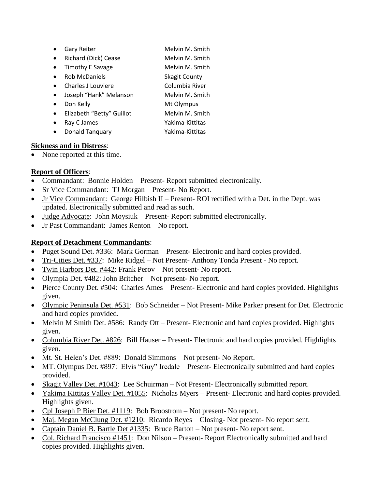- Gary Reiter Melvin M. Smith
- Richard (Dick) Cease Melvin M. Smith
- Timothy E Savage Melvin M. Smith
- **Rob McDaniels** Skagit County
- Charles J Louviere Columbia River
- Joseph "Hank" Melanson Melvin M. Smith
- Don Kelly Mt Olympus
- Elizabeth "Betty" Guillot Melvin M. Smith
- Ray C James Yakima-Kittitas
- 
- 
- Donald Tanquary Yakima-Kittitas

# **Sickness and in Distress**:

• None reported at this time.

# **Report of Officers**:

- Commandant: Bonnie Holden Present- Report submitted electronically.
- Sr Vice Commandant: TJ Morgan Present- No Report.
- Jr Vice Commandant: George Hilbish II Present- ROI rectified with a Det. in the Dept. was updated. Electronically submitted and read as such.
- Judge Advocate: John Moysiuk Present- Report submitted electronically.
- Jr Past Commandant: James Renton No report.

# **Report of Detachment Commandants**:

- Puget Sound Det. #336: Mark Gorman Present- Electronic and hard copies provided.
- Tri-Cities Det. #337: Mike Ridgel Not Present- Anthony Tonda Present No report.
- Twin Harbors Det. #442: Frank Perov Not present- No report.
- Olympia Det. #482: John Britcher Not present- No report.
- Pierce County Det. #504: Charles Ames Present- Electronic and hard copies provided. Highlights given.
- Olympic Peninsula Det. #531: Bob Schneider Not Present- Mike Parker present for Det. Electronic and hard copies provided.
- Melvin M Smith Det. #586: Randy Ott Present- Electronic and hard copies provided. Highlights given.
- Columbia River Det. #826: Bill Hauser Present- Electronic and hard copies provided. Highlights given.
- Mt. St. Helen's Det. #889: Donald Simmons Not present- No Report.
- MT. Olympus Det. #897: Elvis "Guy" Iredale Present- Electronically submitted and hard copies provided.
- Skagit Valley Det. #1043: Lee Schuirman Not Present- Electronically submitted report.
- Yakima Kittitas Valley Det. #1055: Nicholas Myers Present- Electronic and hard copies provided. Highlights given.
- Cpl Joseph P Bier Det. #1119: Bob Broostrom Not present- No report.
- Maj. Megan McClung Det. #1210: Ricardo Reyes Closing- Not present- No report sent.
- Captain Daniel B. Bartle Det #1335: Bruce Barton Not present- No report sent.
- Col. Richard Francisco #1451: Don Nilson Present- Report Electronically submitted and hard copies provided. Highlights given.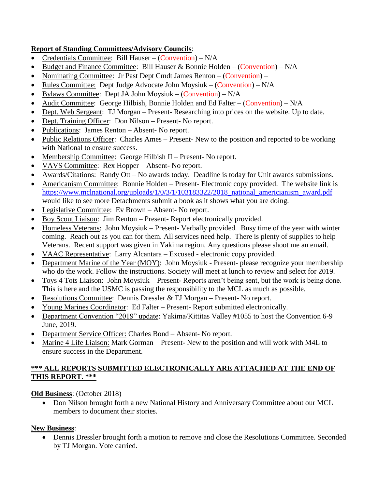# **Report of Standing Committees/Advisory Councils**:

- Credentials Committee: Bill Hauser (Convention) N/A
- Budget and Finance Committee: Bill Hauser & Bonnie Holden (Convention)  $N/A$
- Nominating Committee: Jr Past Dept Cmdt James Renton (Convention) –
- Rules Committee: Dept Judge Advocate John Moysiuk (Convention) N/A
- Bylaws Committee: Dept JA John Moysiuk (Convention)  $N/A$
- Audit Committee: George Hilbish, Bonnie Holden and Ed Falter (Convention) N/A
- Dept. Web Sergeant: TJ Morgan Present- Researching into prices on the website. Up to date.
- Dept. Training Officer: Don Nilson Present- No report.
- Publications: James Renton Absent- No report.
- Public Relations Officer: Charles Ames Present- New to the position and reported to be working with National to ensure success.
- Membership Committee: George Hilbish II Present- No report.
- VAVS Committee: Rex Hopper Absent- No report.
- Awards/Citations: Randy Ott No awards today. Deadline is today for Unit awards submissions.
- Americanism Committee: Bonnie Holden Present- Electronic copy provided. The website link is [https://www.mclnational.org/uploads/1/0/3/1/103183322/2018\\_national\\_americianism\\_award.pdf](https://www.mclnational.org/uploads/1/0/3/1/103183322/2018_national_americianism_award.pdf) would like to see more Detachments submit a book as it shows what you are doing.
- Legislative Committee: Ev Brown Absent- No report.
- Boy Scout Liaison: Jim Renton Present- Report electronically provided.
- Homeless Veterans: John Moysiuk Present- Verbally provided. Busy time of the year with winter coming. Reach out as you can for them. All services need help. There is plenty of supplies to help Veterans. Recent support was given in Yakima region. Any questions please shoot me an email.
- VAAC Representative: Larry Alcantara Excused electronic copy provided.
- Department Marine of the Year (MOY): John Moysiuk Present- please recognize your membership who do the work. Follow the instructions. Society will meet at lunch to review and select for 2019.
- Toys 4 Tots Liaison: John Moysiuk Present- Reports aren't being sent, but the work is being done. This is here and the USMC is passing the responsibility to the MCL as much as possible.
- Resolutions Committee: Dennis Dressler & TJ Morgan Present- No report.
- Young Marines Coordinator: Ed Falter Present- Report submitted electronically.
- Department Convention "2019" update: Yakima/Kittitas Valley #1055 to host the Convention 6-9 June, 2019.
- Department Service Officer: Charles Bond Absent- No report.
- Marine 4 Life Liaison: Mark Gorman Present- New to the position and will work with M4L to ensure success in the Department.

# **\*\*\* ALL REPORTS SUBMITTED ELECTRONICALLY ARE ATTACHED AT THE END OF THIS REPORT. \*\*\***

# **Old Business**: (October 2018)

• Don Nilson brought forth a new National History and Anniversary Committee about our MCL members to document their stories.

# **New Business**:

• Dennis Dressler brought forth a motion to remove and close the Resolutions Committee. Seconded by TJ Morgan. Vote carried.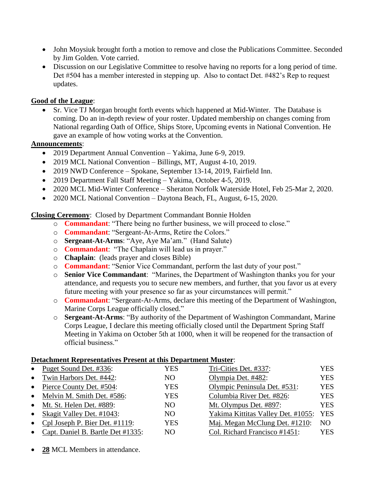- John Moysiuk brought forth a motion to remove and close the Publications Committee. Seconded by Jim Golden. Vote carried.
- Discussion on our Legislative Committee to resolve having no reports for a long period of time. Det #504 has a member interested in stepping up. Also to contact Det. #482's Rep to request updates.

#### **Good of the League**:

• Sr. Vice TJ Morgan brought forth events which happened at Mid-Winter. The Database is coming. Do an in-depth review of your roster. Updated membership on changes coming from National regarding Oath of Office, Ships Store, Upcoming events in National Convention. He gave an example of how voting works at the Convention.

#### **Announcements**:

- 2019 Department Annual Convention Yakima, June 6-9, 2019.
- 2019 MCL National Convention Billings, MT, August 4-10, 2019.
- 2019 NWD Conference Spokane, September 13-14, 2019, Fairfield Inn.
- 2019 Department Fall Staff Meeting Yakima, October 4-5, 2019.
- 2020 MCL Mid-Winter Conference Sheraton Norfolk Waterside Hotel, Feb 25-Mar 2, 2020.
- 2020 MCL National Convention Daytona Beach, FL, August, 6-15, 2020.

**Closing Ceremony**: Closed by Department Commandant Bonnie Holden

- o **Commandant**: "There being no further business, we will proceed to close."
- o **Commandant**: "Sergeant-At-Arms, Retire the Colors."
- o **Sergeant-At-Arms**: "Aye, Aye Ma'am." (Hand Salute)
- o **Commandant**: "The Chaplain will lead us in prayer."
- o **Chaplain**: (leads prayer and closes Bible)
- o **Commandant**: "Senior Vice Commandant, perform the last duty of your post."
- o **Senior Vice Commandant**: "Marines, the Department of Washington thanks you for your attendance, and requests you to secure new members, and further, that you favor us at every future meeting with your presence so far as your circumstances will permit."
- o **Commandant**: "Sergeant-At-Arms, declare this meeting of the Department of Washington, Marine Corps League officially closed."
- o **Sergeant-At-Arms**: "By authority of the Department of Washington Commandant, Marine Corps League, I declare this meeting officially closed until the Department Spring Staff Meeting in Yakima on October 5th at 1000, when it will be reopened for the transaction of official business."

#### **Detachment Representatives Present at this Department Muster**:

|           | в списнителе тери сосионо у со 1 герсие не еню в српи енгене главног. |            |                                    |                |
|-----------|-----------------------------------------------------------------------|------------|------------------------------------|----------------|
|           | • Puget Sound Det. #336:                                              | YES        | Tri-Cities Det. #337:              | <b>YES</b>     |
|           | • Twin Harbors Det. #442:                                             | NO         | Olympia Det. #482:                 | YES            |
|           | • Pierce County Det. $#504$ :                                         | YES        | Olympic Peninsula Det. #531:       | <b>YES</b>     |
|           | • Melvin M. Smith Det. #586:                                          | <b>YES</b> | Columbia River Det. #826:          | YES            |
|           | • Mt. St. Helen Det. #889:                                            | NO.        | Mt. Olympus Det. #897:             | YES            |
| $\bullet$ | Skagit Valley Det. #1043:                                             | NO.        | Yakima Kittitas Valley Det. #1055: | <b>YES</b>     |
| $\bullet$ | Cpl Joseph P. Bier Det. #1119:                                        | <b>YES</b> | Maj. Megan McClung Det. #1210:     | N <sub>O</sub> |
| $\bullet$ | Capt. Daniel B. Bartle Det #1335:                                     | NO.        | Col. Richard Francisco #1451:      | YES            |
|           |                                                                       |            |                                    |                |

28 MCL Members in attendance.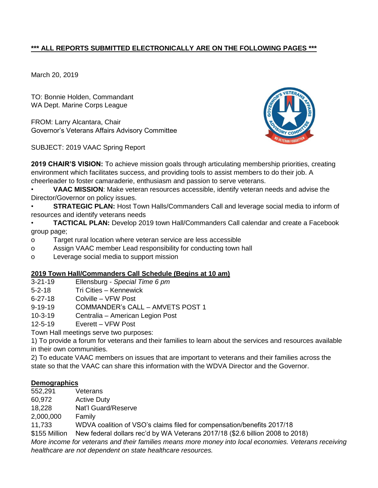# **\*\*\* ALL REPORTS SUBMITTED ELECTRONICALLY ARE ON THE FOLLOWING PAGES \*\*\***

March 20, 2019

TO: Bonnie Holden, Commandant WA Dept. Marine Corps League

FROM: Larry Alcantara, Chair Governor's Veterans Affairs Advisory Committee

SUBJECT: 2019 VAAC Spring Report



**2019 CHAIR'S VISION:** To achieve mission goals through articulating membership priorities, creating environment which facilitates success, and providing tools to assist members to do their job. A cheerleader to foster camaraderie, enthusiasm and passion to serve veterans.

• **VAAC MISSION**: Make veteran resources accessible, identify veteran needs and advise the Director/Governor on policy issues.

• **STRATEGIC PLAN:** Host Town Halls/Commanders Call and leverage social media to inform of resources and identify veterans needs

• **TACTICAL PLAN:** Develop 2019 town Hall/Commanders Call calendar and create a Facebook group page;

- o Target rural location where veteran service are less accessible
- o Assign VAAC member Lead responsibility for conducting town hall
- o Leverage social media to support mission

#### **2019 Town Hall/Commanders Call Schedule (Begins at 10 am)**

- 3-21-19 Ellensburg *Special Time 6 pm*
- 5-2-18 Tri Cities Kennewick
- 6-27-18 Colville VFW Post
- 9-19-19 COMMANDER's CALL AMVETS POST 1
- 10-3-19 Centralia American Legion Post
- 12-5-19 Everett VFW Post

Town Hall meetings serve two purposes:

1) To provide a forum for veterans and their families to learn about the services and resources available in their own communities.

2) To educate VAAC members on issues that are important to veterans and their families across the state so that the VAAC can share this information with the WDVA Director and the Governor.

#### **Demographics**

- 552,291 Veterans
- 60,972 Active Duty
- 18,228 Nat'l Guard/Reserve

2,000,000 Family

11,733 WDVA coalition of VSO's claims filed for compensation/benefits 2017/18

\$155 Million New federal dollars rec'd by WA Veterans 2017/18 (\$2.6 billion 2008 to 2018)

*More income for veterans and their families means more money into local economies. Veterans receiving healthcare are not dependent on state healthcare resources.*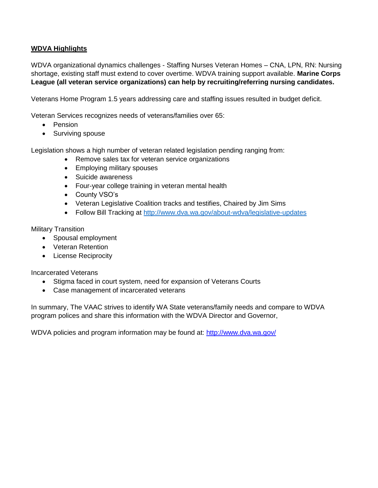#### **WDVA Highlights**

WDVA organizational dynamics challenges - Staffing Nurses Veteran Homes – CNA, LPN, RN: Nursing shortage, existing staff must extend to cover overtime. WDVA training support available. **Marine Corps League (all veteran service organizations) can help by recruiting/referring nursing candidates.**

Veterans Home Program 1.5 years addressing care and staffing issues resulted in budget deficit.

Veteran Services recognizes needs of veterans/families over 65:

- Pension
- Surviving spouse

Legislation shows a high number of veteran related legislation pending ranging from:

- Remove sales tax for veteran service organizations
- Employing military spouses
- Suicide awareness
- Four-year college training in veteran mental health
- County VSO's
- Veteran Legislative Coalition tracks and testifies, Chaired by Jim Sims
- Follow Bill Tracking at<http://www.dva.wa.gov/about-wdva/legislative-updates>

Military Transition

- Spousal employment
- Veteran Retention
- License Reciprocity

Incarcerated Veterans

- Stigma faced in court system, need for expansion of Veterans Courts
- Case management of incarcerated veterans

In summary, The VAAC strives to identify WA State veterans/family needs and compare to WDVA program polices and share this information with the WDVA Director and Governor,

WDVA policies and program information may be found at:<http://www.dva.wa.gov/>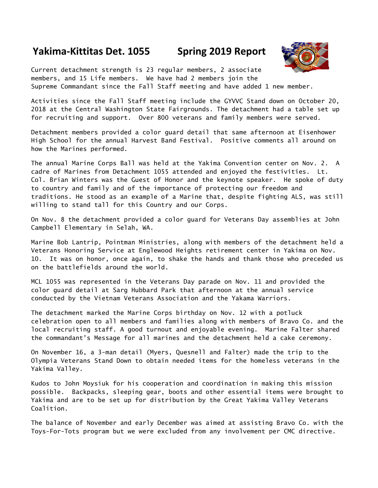# **Yakima-Kittitas Det. 1055 Spring 2019 Report**



Current detachment strength is 23 regular members, 2 associate members, and 15 Life members. We have had 2 members join the Supreme Commandant since the Fall Staff meeting and have added 1 new member.

Activities since the Fall Staff meeting include the GYVVC Stand down on October 20, 2018 at the Central Washington State Fairgrounds. The detachment had a table set up for recruiting and support. Over 800 veterans and family members were served.

Detachment members provided a color guard detail that same afternoon at Eisenhower High School for the annual Harvest Band Festival. Positive comments all around on how the Marines performed.

The annual Marine Corps Ball was held at the Yakima Convention center on Nov. 2. A cadre of Marines from Detachment 1055 attended and enjoyed the festivities. Lt. Col. Brian Winters was the Guest of Honor and the keynote speaker. He spoke of duty to country and family and of the importance of protecting our freedom and traditions. He stood as an example of a Marine that, despite fighting ALS, was still willing to stand tall for this Country and our Corps.

On Nov. 8 the detachment provided a color guard for Veterans Day assemblies at John Campbell Elementary in Selah, WA.

Marine Bob Lantrip, Pointman Ministries, along with members of the detachment held a Veterans Honoring Service at Englewood Heights retirement center in Yakima on Nov. 10. It was on honor, once again, to shake the hands and thank those who preceded us on the battlefields around the world.

MCL 1055 was represented in the Veterans Day parade on Nov. 11 and provided the color guard detail at Sarg Hubbard Park that afternoon at the annual service conducted by the Vietnam Veterans Association and the Yakama Warriors.

The detachment marked the Marine Corps birthday on Nov. 12 with a potluck celebration open to all members and families along with members of Bravo Co. and the local recruiting staff. A good turnout and enjoyable evening. Marine Falter shared the commandant's Message for all marines and the detachment held a cake ceremony.

On November 16, a 3-man detail (Myers, Quesnell and Falter) made the trip to the Olympia Veterans Stand Down to obtain needed items for the homeless veterans in the Yakima Valley.

Kudos to John Moysiuk for his cooperation and coordination in making this mission possible. Backpacks, sleeping gear, boots and other essential items were brought to Yakima and are to be set up for distribution by the Great Yakima Valley Veterans Coalition.

The balance of November and early December was aimed at assisting Bravo Co. with the Toys-For-Tots program but we were excluded from any involvement per CMC directive.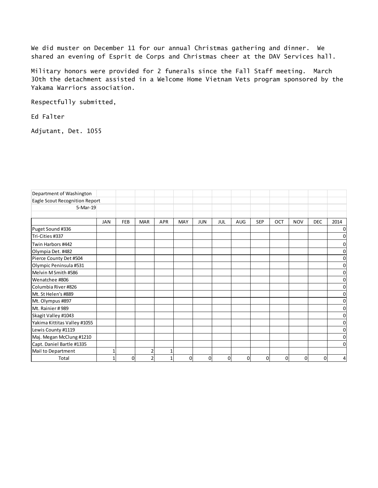We did muster on December 11 for our annual Christmas gathering and dinner. We shared an evening of Esprit de Corps and Christmas cheer at the DAV Services hall.

Military honors were provided for 2 funerals since the Fall Staff meeting. March 30th the detachment assisted in a Welcome Home Vietnam Vets program sponsored by the Yakama Warriors association.

Respectfully submitted,

Ed Falter

Adjutant, Det. 1055

| Department of Washington       |            |          |            |            |            |            |     |              |            |             |            |            |             |
|--------------------------------|------------|----------|------------|------------|------------|------------|-----|--------------|------------|-------------|------------|------------|-------------|
| Eagle Scout Recognition Report |            |          |            |            |            |            |     |              |            |             |            |            |             |
| 5-Mar-19                       |            |          |            |            |            |            |     |              |            |             |            |            |             |
|                                |            |          |            |            |            |            |     |              |            |             |            |            |             |
|                                | <b>JAN</b> | FEB      | <b>MAR</b> | <b>APR</b> | <b>MAY</b> | <b>JUN</b> | JUL | AUG          | <b>SEP</b> | OCT         | <b>NOV</b> | <b>DEC</b> | 2014        |
| Puget Sound #336               |            |          |            |            |            |            |     |              |            |             |            |            | $\Omega$    |
| Tri-Cities #337                |            |          |            |            |            |            |     |              |            |             |            |            | 0           |
| Twin Harbors #442              |            |          |            |            |            |            |     |              |            |             |            |            | 0           |
| Olympia Det. #482              |            |          |            |            |            |            |     |              |            |             |            |            | 0           |
| Pierce County Det #504         |            |          |            |            |            |            |     |              |            |             |            |            | 0           |
| Olympic Peninsula #531         |            |          |            |            |            |            |     |              |            |             |            |            | 0           |
| Melvin M Smith #586            |            |          |            |            |            |            |     |              |            |             |            |            | 0           |
| Wenatchee #806                 |            |          |            |            |            |            |     |              |            |             |            |            | 0           |
| Columbia River #826            |            |          |            |            |            |            |     |              |            |             |            |            | 0           |
| Mt. St Helen's #889            |            |          |            |            |            |            |     |              |            |             |            |            | 0           |
| Mt. Olympus #897               |            |          |            |            |            |            |     |              |            |             |            |            | 0           |
| Mt. Rainier #989               |            |          |            |            |            |            |     |              |            |             |            |            | $\mathbf 0$ |
| Skagit Valley #1043            |            |          |            |            |            |            |     |              |            |             |            |            | 0           |
| Yakima Kittitas Valley #1055   |            |          |            |            |            |            |     |              |            |             |            |            | 0           |
| Lewis County #1119             |            |          |            |            |            |            |     |              |            |             |            |            | 0           |
| Maj. Megan McClung #1210       |            |          |            |            |            |            |     |              |            |             |            |            | 0           |
| Capt. Daniel Bartle #1335      |            |          |            |            |            |            |     |              |            |             |            |            | 0           |
| Mail to Department             |            |          | 2          |            |            |            |     |              |            |             |            |            |             |
| Total                          |            | $\Omega$ | h          |            | $\Omega$   | 0          | O   | <sub>0</sub> | 0          | $\mathbf 0$ | $\Omega$   | 0          | 4           |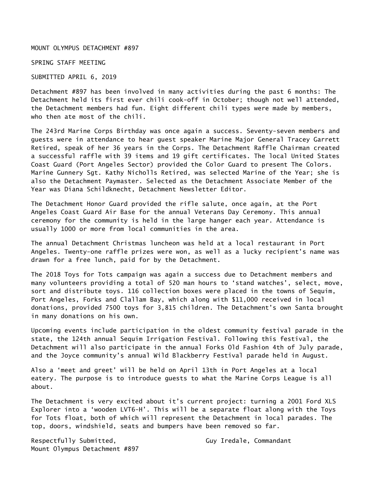MOUNT OLYMPUS DETACHMENT #897

SPRING STAFF MEETING

SUBMITTED APRIL 6, 2019

Detachment #897 has been involved in many activities during the past 6 months: The Detachment held its first ever chili cook-off in October; though not well attended, the Detachment members had fun. Eight different chili types were made by members, who then ate most of the chili.

The 243rd Marine Corps Birthday was once again a success. Seventy-seven members and guests were in attendance to hear guest speaker Marine Major General Tracey Garrett Retired, speak of her 36 years in the Corps. The Detachment Raffle Chairman created a successful raffle with 39 items and 19 gift certificates. The local United States Coast Guard (Port Angeles Sector) provided the Color Guard to present The Colors. Marine Gunnery Sgt. Kathy Nicholls Retired, was selected Marine of the Year; she is also the Detachment Paymaster. Selected as the Detachment Associate Member of the Year was Diana Schildknecht, Detachment Newsletter Editor.

The Detachment Honor Guard provided the rifle salute, once again, at the Port Angeles Coast Guard Air Base for the annual Veterans Day Ceremony. This annual ceremony for the community is held in the large hanger each year. Attendance is usually 1000 or more from local communities in the area.

The annual Detachment Christmas luncheon was held at a local restaurant in Port Angeles. Twenty-one raffle prizes were won, as well as a lucky recipient's name was drawn for a free lunch, paid for by the Detachment.

The 2018 Toys for Tots campaign was again a success due to Detachment members and many volunteers providing a total of 520 man hours to 'stand watches', select, move, sort and distribute toys. 116 collection boxes were placed in the towns of Sequim, Port Angeles, Forks and Clallam Bay, which along with \$11,000 received in local donations, provided 7500 toys for 3,815 children. The Detachment's own Santa brought in many donations on his own.

Upcoming events include participation in the oldest community festival parade in the state, the 124th annual Sequim Irrigation Festival. Following this festival, the Detachment will also participate in the annual Forks Old Fashion 4th of July parade, and the Joyce community's annual Wild Blackberry Festival parade held in August.

Also a 'meet and greet' will be held on April 13th in Port Angeles at a local eatery. The purpose is to introduce guests to what the Marine Corps League is all about.

The Detachment is very excited about it's current project: turning a 2001 Ford XLS Explorer into a 'wooden LVT6-H'. This will be a separate float along with the Toys for Tots float, both of which will represent the Detachment in local parades. The top, doors, windshield, seats and bumpers have been removed so far.

Respectfully Submitted, The Community Case of Guy Iredale, Commandant Mount Olympus Detachment #897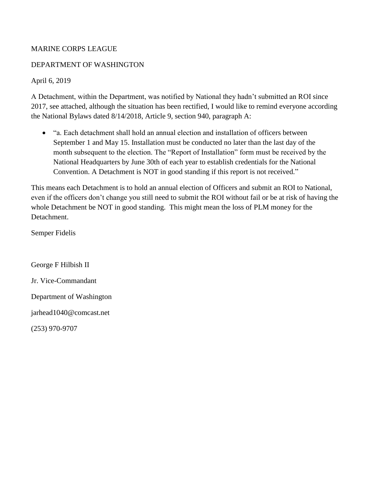#### MARINE CORPS LEAGUE

#### DEPARTMENT OF WASHINGTON

#### April 6, 2019

A Detachment, within the Department, was notified by National they hadn't submitted an ROI since 2017, see attached, although the situation has been rectified, I would like to remind everyone according the National Bylaws dated 8/14/2018, Article 9, section 940, paragraph A:

• "a. Each detachment shall hold an annual election and installation of officers between September 1 and May 15. Installation must be conducted no later than the last day of the month subsequent to the election. The "Report of Installation" form must be received by the National Headquarters by June 30th of each year to establish credentials for the National Convention. A Detachment is NOT in good standing if this report is not received."

This means each Detachment is to hold an annual election of Officers and submit an ROI to National, even if the officers don't change you still need to submit the ROI without fail or be at risk of having the whole Detachment be NOT in good standing. This might mean the loss of PLM money for the Detachment.

Semper Fidelis

George F Hilbish II Jr. Vice-Commandant Department of Washington jarhead1040@comcast.net

(253) 970-9707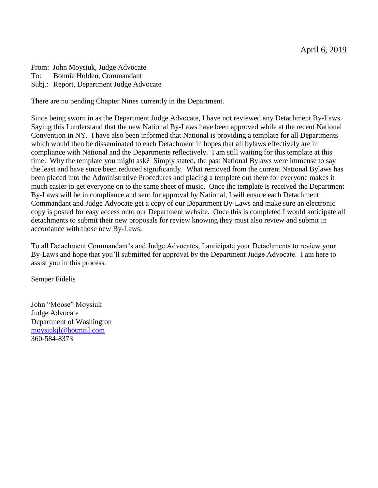From: John Moysiuk, Judge Advocate To: Bonnie Holden, Commandant Subj.: Report, Department Judge Advocate

There are no pending Chapter Nines currently in the Department.

Since being sworn in as the Department Judge Advocate, I have not reviewed any Detachment By-Laws. Saying this I understand that the new National By-Laws have been approved while at the recent National Convention in NY. I have also been informed that National is providing a template for all Departments which would then be disseminated to each Detachment in hopes that all bylaws effectively are in compliance with National and the Departments reflectively. I am still waiting for this template at this time. Why the template you might ask? Simply stated, the past National Bylaws were immense to say the least and have since been reduced significantly. What removed from the current National Bylaws has been placed into the Administrative Procedures and placing a template out there for everyone makes it much easier to get everyone on to the same sheet of music. Once the template is received the Department By-Laws will be in compliance and sent for approval by National, I will ensure each Detachment Commandant and Judge Advocate get a copy of our Department By-Laws and make sure an electronic copy is posted for easy access onto our Department website. Once this is completed I would anticipate all detachments to submit their new proposals for review knowing they must also review and submit in accordance with those new By-Laws.

To all Detachment Commandant's and Judge Advocates, I anticipate your Detachments to review your By-Laws and hope that you'll submitted for approval by the Department Judge Advocate. I am here to assist you in this process.

Semper Fidelis

John "Moose" Moysiuk Judge Advocate Department of Washington [moysiukjl@hotmail.com](mailto:moysiukjl@hotmail.com) 360-584-8373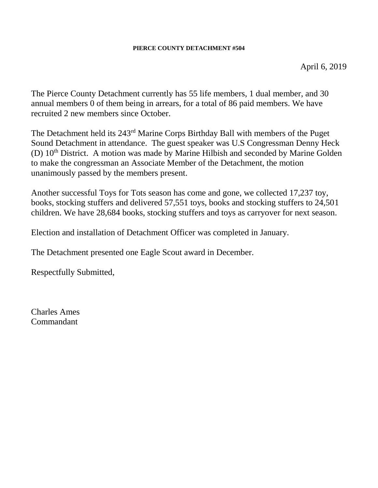#### **PIERCE COUNTY DETACHMENT #504**

The Pierce County Detachment currently has 55 life members, 1 dual member, and 30 annual members 0 of them being in arrears, for a total of 86 paid members. We have recruited 2 new members since October.

The Detachment held its 243rd Marine Corps Birthday Ball with members of the Puget Sound Detachment in attendance. The guest speaker was U.S Congressman Denny Heck (D)  $10<sup>th</sup>$  District. A motion was made by Marine Hilbish and seconded by Marine Golden to make the congressman an Associate Member of the Detachment, the motion unanimously passed by the members present.

Another successful Toys for Tots season has come and gone, we collected 17,237 toy, books, stocking stuffers and delivered 57,551 toys, books and stocking stuffers to 24,501 children. We have 28,684 books, stocking stuffers and toys as carryover for next season.

Election and installation of Detachment Officer was completed in January.

The Detachment presented one Eagle Scout award in December.

Respectfully Submitted,

Charles Ames Commandant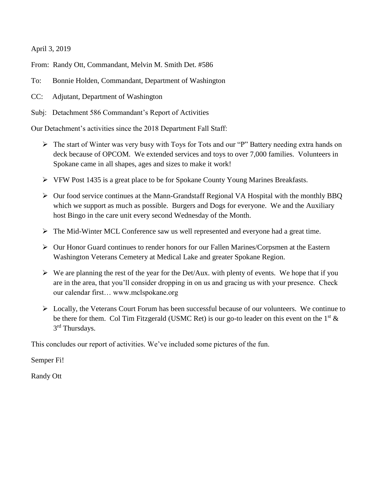April 3, 2019

From: Randy Ott, Commandant, Melvin M. Smith Det. #586

- To: Bonnie Holden, Commandant, Department of Washington
- CC: Adjutant, Department of Washington

Subj: Detachment 586 Commandant's Report of Activities

Our Detachment's activities since the 2018 Department Fall Staff:

- ➢ The start of Winter was very busy with Toys for Tots and our "P" Battery needing extra hands on deck because of OPCOM. We extended services and toys to over 7,000 families. Volunteers in Spokane came in all shapes, ages and sizes to make it work!
- ➢ VFW Post 1435 is a great place to be for Spokane County Young Marines Breakfasts.
- ➢ Our food service continues at the Mann-Grandstaff Regional VA Hospital with the monthly BBQ which we support as much as possible. Burgers and Dogs for everyone. We and the Auxiliary host Bingo in the care unit every second Wednesday of the Month.
- ➢ The Mid-Winter MCL Conference saw us well represented and everyone had a great time.
- ➢ Our Honor Guard continues to render honors for our Fallen Marines/Corpsmen at the Eastern Washington Veterans Cemetery at Medical Lake and greater Spokane Region.
- $\triangleright$  We are planning the rest of the year for the Det/Aux. with plenty of events. We hope that if you are in the area, that you'll consider dropping in on us and gracing us with your presence. Check our calendar first… www.mclspokane.org
- ➢ Locally, the Veterans Court Forum has been successful because of our volunteers. We continue to be there for them. Col Tim Fitzgerald (USMC Ret) is our go-to leader on this event on the  $1<sup>st</sup>$  & 3<sup>rd</sup> Thursdays.

This concludes our report of activities. We've included some pictures of the fun.

Semper Fi!

Randy Ott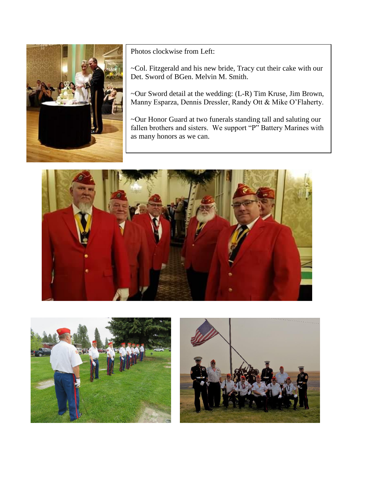

Photos clockwise from Left:

~Col. Fitzgerald and his new bride, Tracy cut their cake with our Det. Sword of BGen. Melvin M. Smith.

~Our Sword detail at the wedding: (L-R) Tim Kruse, Jim Brown, Manny Esparza, Dennis Dressler, Randy Ott & Mike O'Flaherty.

~Our Honor Guard at two funerals standing tall and saluting our fallen brothers and sisters. We support "P" Battery Marines with as many honors as we can.





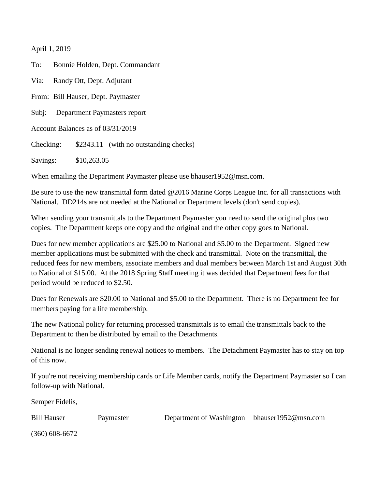April 1, 2019

To: Bonnie Holden, Dept. Commandant Via: Randy Ott, Dept. Adjutant From: Bill Hauser, Dept. Paymaster Subj: Department Paymasters report Account Balances as of 03/31/2019 Checking: \$2343.11 (with no outstanding checks) Savings: \$10,263.05

When emailing the Department Paymaster please use bhauser1952@msn.com.

Be sure to use the new transmittal form dated @2016 Marine Corps League Inc. for all transactions with National. DD214s are not needed at the National or Department levels (don't send copies).

When sending your transmittals to the Department Paymaster you need to send the original plus two copies. The Department keeps one copy and the original and the other copy goes to National.

Dues for new member applications are \$25.00 to National and \$5.00 to the Department. Signed new member applications must be submitted with the check and transmittal. Note on the transmittal, the reduced fees for new members, associate members and dual members between March 1st and August 30th to National of \$15.00. At the 2018 Spring Staff meeting it was decided that Department fees for that period would be reduced to \$2.50.

Dues for Renewals are \$20.00 to National and \$5.00 to the Department. There is no Department fee for members paying for a life membership.

The new National policy for returning processed transmittals is to email the transmittals back to the Department to then be distributed by email to the Detachments.

National is no longer sending renewal notices to members. The Detachment Paymaster has to stay on top of this now.

If you're not receiving membership cards or Life Member cards, notify the Department Paymaster so I can follow-up with National.

Semper Fidelis,

Bill Hauser Paymaster Department of Washington bhauser1952@msn.com

(360) 608-6672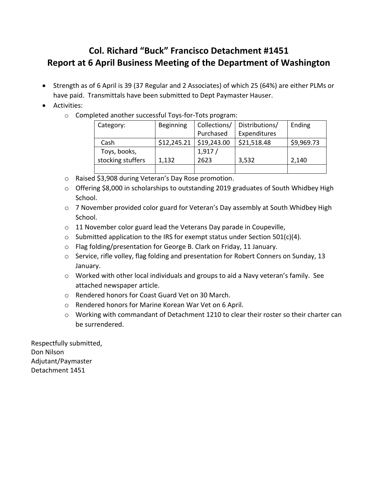# **Col. Richard "Buck" Francisco Detachment #1451 Report at 6 April Business Meeting of the Department of Washington**

- Strength as of 6 April is 39 (37 Regular and 2 Associates) of which 25 (64%) are either PLMs or have paid. Transmittals have been submitted to Dept Paymaster Hauser.
- Activities:
	- o Completed another successful Toys-for-Tots program:

| Category:         | Beginning   | Collections/ | Distributions/ | Ending     |
|-------------------|-------------|--------------|----------------|------------|
|                   |             | Purchased    | Expenditures   |            |
| Cash              | \$12,245.21 | \$19,243.00  | \$21,518.48    | \$9,969.73 |
| Toys, books,      |             | 1,917/       |                |            |
| stocking stuffers | 1,132       | 2623         | 3,532          | 2,140      |
|                   |             |              |                |            |

- o Raised \$3,908 during Veteran's Day Rose promotion.
- $\circ$  Offering \$8,000 in scholarships to outstanding 2019 graduates of South Whidbey High School.
- o 7 November provided color guard for Veteran's Day assembly at South Whidbey High School.
- o 11 November color guard lead the Veterans Day parade in Coupeville,
- $\circ$  Submitted application to the IRS for exempt status under Section 501(c)(4).
- o Flag folding/presentation for George B. Clark on Friday, 11 January.
- o Service, rifle volley, flag folding and presentation for Robert Conners on Sunday, 13 January.
- $\circ$  Worked with other local individuals and groups to aid a Navy veteran's family. See attached newspaper article.
- o Rendered honors for Coast Guard Vet on 30 March.
- o Rendered honors for Marine Korean War Vet on 6 April.
- o Working with commandant of Detachment 1210 to clear their roster so their charter can be surrendered.

Respectfully submitted, Don Nilson Adjutant/Paymaster Detachment 1451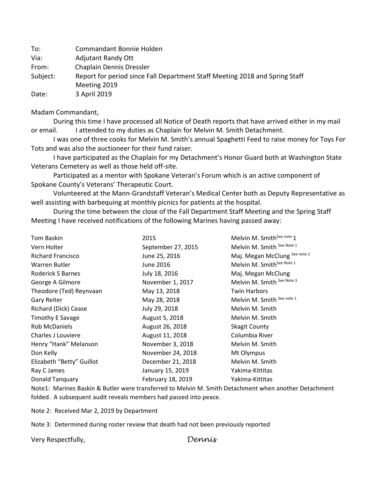To: Commandant Bonnie Holden Via: Adjutant Randy Ott From: Chaplain Dennis Dressler Subject: Report for period since Fall Department Staff Meeting 2018 and Spring Staff Meeting 2019 Date: 3 April 2019

#### Madam Commandant,

During this time I have processed all Notice of Death reports that have arrived either in my mail or email. I attended to my duties as Chaplain for Melvin M. Smith Detachment.

 I was one of three cooks for Melvin M. Smith's annual Spaghetti Feed to raise money for Toys For Tots and was also the auctioneer for their fund raiser.

I have participated as the Chaplain for my Detachment's Honor Guard both at Washington State Veterans Cemetery as well as those held off-site.

 Participated as a mentor with Spokane Veteran's Forum which is an active component of Spokane County's Veterans' Therapeutic Court.

Volunteered at the Mann-Grandstaff Veteran's Medical Center both as Deputy Representative as well assisting with barbequing at monthly picnics for patients at the hospital.

During the time between the close of the Fall Department Staff Meeting and the Spring Staff Meeting I have received notifications of the following Marines having passed away:

| 2015               | Melvin M. Smith <sup>See note</sup> 1 |
|--------------------|---------------------------------------|
| September 27, 2015 | Melvin M. Smith See Note 1            |
| June 25, 2016      | Maj. Megan McClung See note 2         |
| June 2016          | Melvin M. Smith <sup>See Note 1</sup> |
| July 18, 2016      | Maj. Megan McClung                    |
| November 1, 2017   | Melvin M. Smith See Note 3            |
| May 13, 2018       | <b>Twin Harbors</b>                   |
| May 28, 2018       | Melvin M. Smith See note 1            |
| July 29, 2018      | Melvin M. Smith                       |
| August 5, 2018     | Melvin M. Smith                       |
| August 26, 2018    | <b>Skagit County</b>                  |
| August 11, 2018    | Columbia River                        |
| November 3, 2018   | Melvin M. Smith                       |
| November 24, 2018  | Mt Olympus                            |
| December 21, 2018  | Melvin M. Smith                       |
| January 15, 2019   | Yakima-Kittitas                       |
| February 18, 2019  | Yakima-Kittitas                       |
|                    |                                       |

Note1: Marines Baskin & Butler were transferred to Melvin M. Smith Detachment when another Detachment folded. A subsequent audit reveals members had passed into peace.

Note 2: Received Mar 2, 2019 by Department

Note 3: Determined during roster review that death had not been previously reported

Very Respectfully, *Dennis*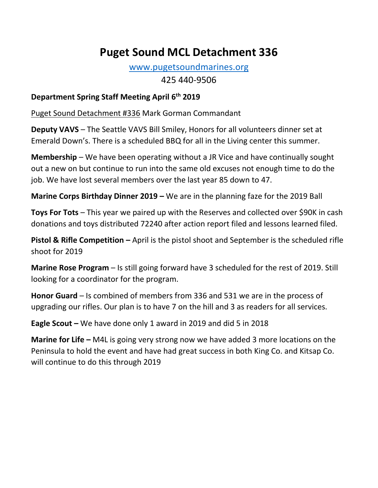# **Puget Sound MCL Detachment 336**

[www.pugetsoundmarines.org](http://www.pugetsoundmarines.org/) 425 440-9506

# **Department Spring Staff Meeting April 6th 2019**

Puget Sound Detachment #336 Mark Gorman Commandant

**Deputy VAVS** – The Seattle VAVS Bill Smiley, Honors for all volunteers dinner set at Emerald Down's. There is a scheduled BBQ for all in the Living center this summer.

**Membership** – We have been operating without a JR Vice and have continually sought out a new on but continue to run into the same old excuses not enough time to do the job. We have lost several members over the last year 85 down to 47.

**Marine Corps Birthday Dinner 2019** – We are in the planning faze for the 2019 Ball

**Toys For Tots** – This year we paired up with the Reserves and collected over \$90K in cash donations and toys distributed 72240 after action report filed and lessons learned filed.

**Pistol & Rifle Competition –** April is the pistol shoot and September is the scheduled rifle shoot for 2019

**Marine Rose Program** – Is still going forward have 3 scheduled for the rest of 2019. Still looking for a coordinator for the program.

**Honor Guard** – Is combined of members from 336 and 531 we are in the process of upgrading our rifles. Our plan is to have 7 on the hill and 3 as readers for all services.

**Eagle Scout –** We have done only 1 award in 2019 and did 5 in 2018

**Marine for Life –** M4L is going very strong now we have added 3 more locations on the Peninsula to hold the event and have had great success in both King Co. and Kitsap Co. will continue to do this through 2019